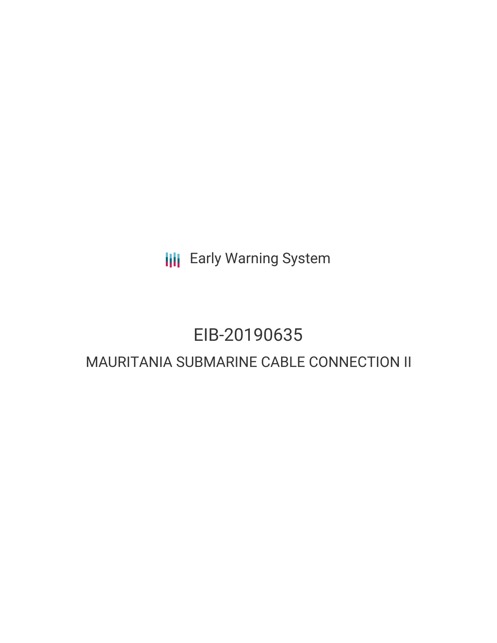**III** Early Warning System

# EIB-20190635

# MAURITANIA SUBMARINE CABLE CONNECTION II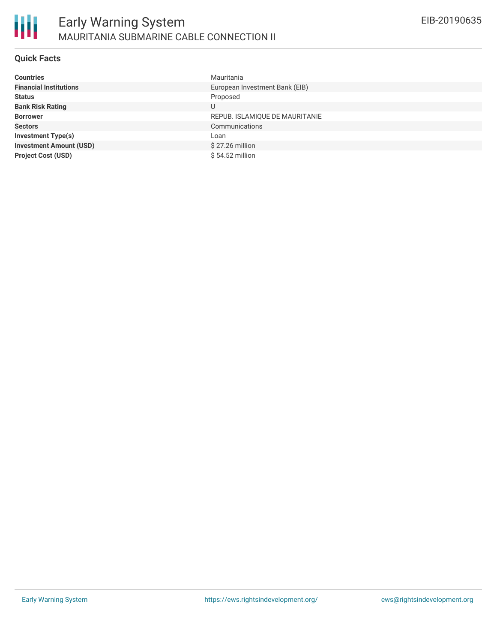

#### **Quick Facts**

| <b>Countries</b>               | Mauritania                     |
|--------------------------------|--------------------------------|
| <b>Financial Institutions</b>  | European Investment Bank (EIB) |
| <b>Status</b>                  | Proposed                       |
| <b>Bank Risk Rating</b>        |                                |
| <b>Borrower</b>                | REPUB. ISLAMIQUE DE MAURITANIE |
| <b>Sectors</b>                 | Communications                 |
| <b>Investment Type(s)</b>      | Loan                           |
| <b>Investment Amount (USD)</b> | $$27.26$ million               |
| <b>Project Cost (USD)</b>      | $$54.52$ million               |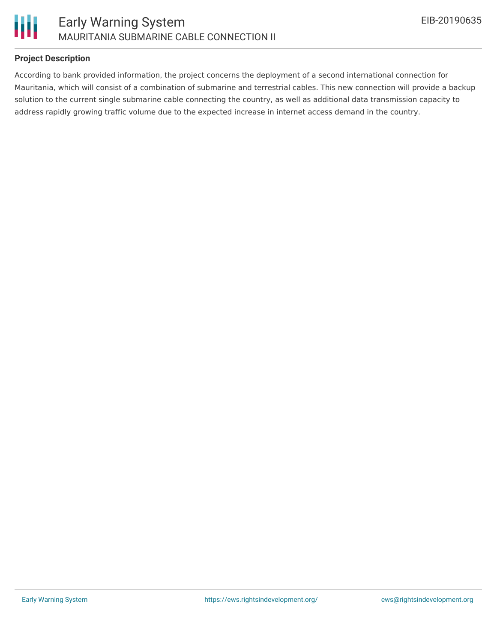



#### **Project Description**

According to bank provided information, the project concerns the deployment of a second international connection for Mauritania, which will consist of a combination of submarine and terrestrial cables. This new connection will provide a backup solution to the current single submarine cable connecting the country, as well as additional data transmission capacity to address rapidly growing traffic volume due to the expected increase in internet access demand in the country.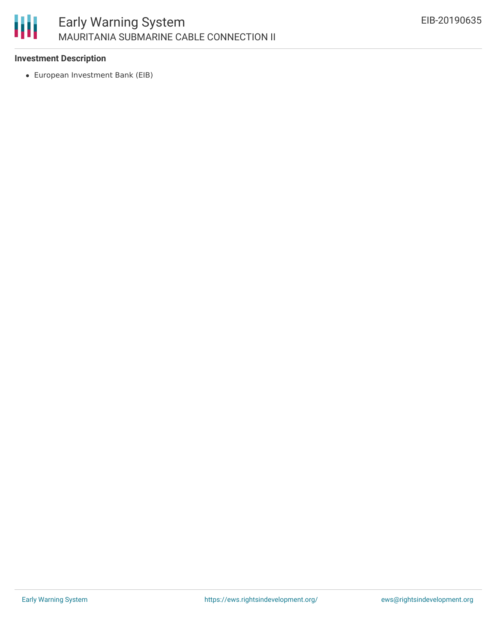

### **Investment Description**

European Investment Bank (EIB)